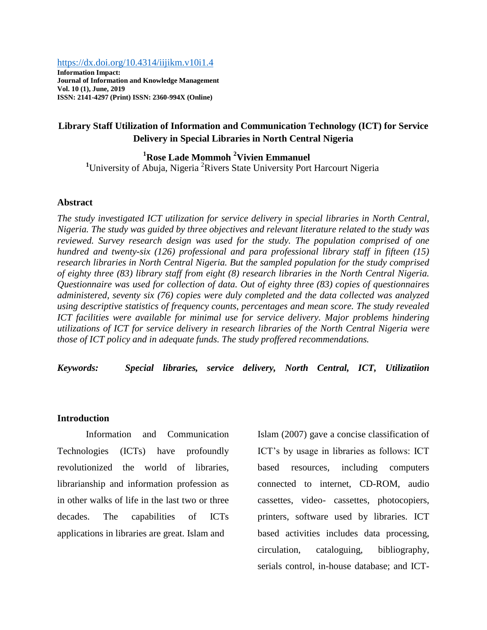#### <https://dx.doi.org/10.4314/iijikm.v10i1.4>

**Information Impact: Journal of Information and Knowledge Management Vol. 10 (1), June, 2019 ISSN: 2141-4297 (Print) ISSN: 2360-994X (Online)**

# **Library Staff Utilization of Information and Communication Technology (ICT) for Service Delivery in Special Libraries in North Central Nigeria**

**<sup>1</sup>Rose Lade Mommoh <sup>2</sup>Vivien Emmanuel** <sup>1</sup>University of Abuja, Nigeria<sup>2</sup>Rivers State University Port Harcourt Nigeria

#### **Abstract**

*The study investigated ICT utilization for service delivery in special libraries in North Central, Nigeria. The study was guided by three objectives and relevant literature related to the study was reviewed. Survey research design was used for the study. The population comprised of one hundred and twenty-six (126) professional and para professional library staff in fifteen (15) research libraries in North Central Nigeria. But the sampled population for the study comprised of eighty three (83) library staff from eight (8) research libraries in the North Central Nigeria. Questionnaire was used for collection of data. Out of eighty three (83) copies of questionnaires administered, seventy six (76) copies were duly completed and the data collected was analyzed using descriptive statistics of frequency counts, percentages and mean score. The study revealed ICT facilities were available for minimal use for service delivery. Major problems hindering utilizations of ICT for service delivery in research libraries of the North Central Nigeria were those of ICT policy and in adequate funds. The study proffered recommendations.*

*Keywords: Special libraries, service delivery, North Central, ICT, Utilizatiion*

#### **Introduction**

Information and Communication Technologies (ICTs) have profoundly revolutionized the world of libraries, librarianship and information profession as in other walks of life in the last two or three decades. The capabilities of ICTs applications in libraries are great. Islam and

Islam (2007) gave a concise classification of ICT's by usage in libraries as follows: ICT based resources, including computers connected to internet, CD-ROM, audio cassettes, video- cassettes, photocopiers, printers, software used by libraries. ICT based activities includes data processing, circulation, cataloguing, bibliography, serials control, in-house database; and ICT-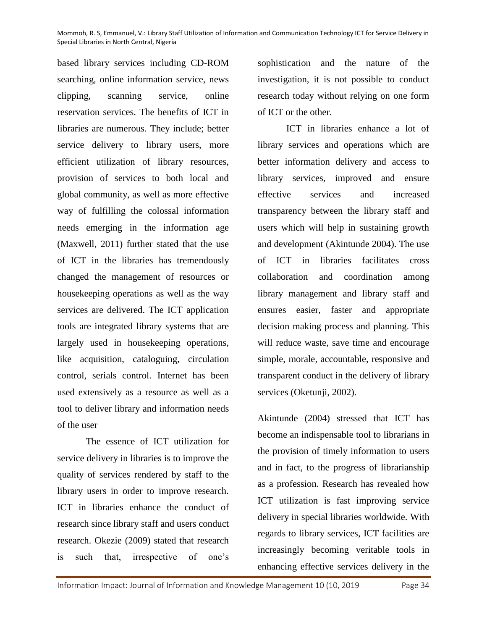based library services including CD-ROM searching, online information service, news clipping, scanning service, online reservation services. The benefits of ICT in libraries are numerous. They include; better service delivery to library users, more efficient utilization of library resources, provision of services to both local and global community, as well as more effective way of fulfilling the colossal information needs emerging in the information age (Maxwell, 2011) further stated that the use of ICT in the libraries has tremendously changed the management of resources or housekeeping operations as well as the way services are delivered. The ICT application tools are integrated library systems that are largely used in housekeeping operations, like acquisition, cataloguing, circulation control, serials control. Internet has been used extensively as a resource as well as a tool to deliver library and information needs of the user

The essence of ICT utilization for service delivery in libraries is to improve the quality of services rendered by staff to the library users in order to improve research. ICT in libraries enhance the conduct of research since library staff and users conduct research. Okezie (2009) stated that research is such that, irrespective of one's

sophistication and the nature of the investigation, it is not possible to conduct research today without relying on one form of ICT or the other.

ICT in libraries enhance a lot of library services and operations which are better information delivery and access to library services, improved and ensure effective services and increased transparency between the library staff and users which will help in sustaining growth and development (Akintunde 2004). The use of ICT in libraries facilitates cross collaboration and coordination among library management and library staff and ensures easier, faster and appropriate decision making process and planning. This will reduce waste, save time and encourage simple, morale, accountable, responsive and transparent conduct in the delivery of library services (Oketunji, 2002).

Akintunde (2004) stressed that ICT has become an indispensable tool to librarians in the provision of timely information to users and in fact, to the progress of librarianship as a profession. Research has revealed how ICT utilization is fast improving service delivery in special libraries worldwide. With regards to library services, ICT facilities are increasingly becoming veritable tools in enhancing effective services delivery in the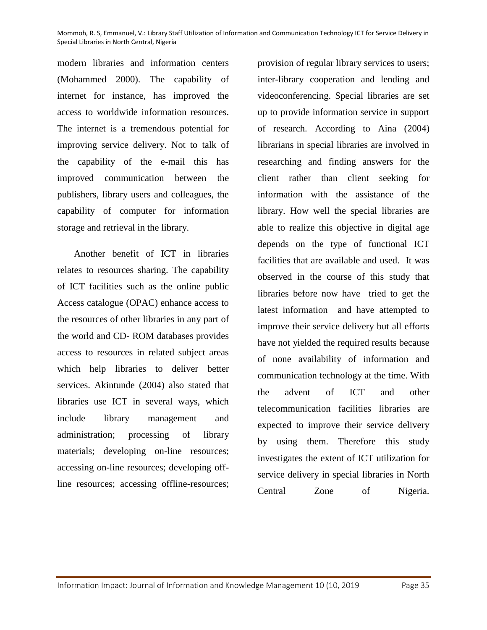modern libraries and information centers (Mohammed 2000). The capability of internet for instance, has improved the access to worldwide information resources. The internet is a tremendous potential for improving service delivery. Not to talk of the capability of the e-mail this has improved communication between the publishers, library users and colleagues, the capability of computer for information storage and retrieval in the library.

 Another benefit of ICT in libraries relates to resources sharing. The capability of ICT facilities such as the online public Access catalogue (OPAC) enhance access to the resources of other libraries in any part of the world and CD- ROM databases provides access to resources in related subject areas which help libraries to deliver better services. Akintunde (2004) also stated that libraries use ICT in several ways, which include library management and administration; processing of library materials; developing on-line resources; accessing on-line resources; developing offline resources; accessing offline-resources;

provision of regular library services to users; inter-library cooperation and lending and videoconferencing. Special libraries are set up to provide information service in support of research. According to Aina (2004) librarians in special libraries are involved in researching and finding answers for the client rather than client seeking for information with the assistance of the library. How well the special libraries are able to realize this objective in digital age depends on the type of functional ICT facilities that are available and used. It was observed in the course of this study that libraries before now have tried to get the latest information and have attempted to improve their service delivery but all efforts have not yielded the required results because of none availability of information and communication technology at the time. With the advent of ICT and other telecommunication facilities libraries are expected to improve their service delivery by using them. Therefore this study investigates the extent of ICT utilization for service delivery in special libraries in North Central Zone of Nigeria.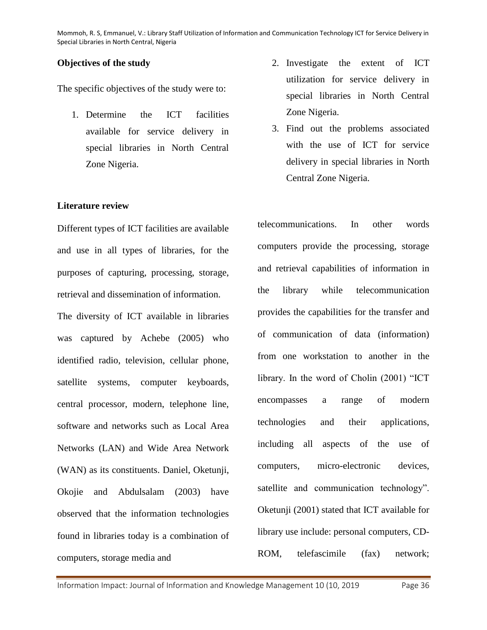## **Objectives of the study**

The specific objectives of the study were to:

1. Determine the ICT facilities available for service delivery in special libraries in North Central Zone Nigeria.

## **Literature review**

Different types of ICT facilities are available and use in all types of libraries, for the purposes of capturing, processing, storage, retrieval and dissemination of information. The diversity of ICT available in libraries was captured by Achebe (2005) who identified radio, television, cellular phone, satellite systems, computer keyboards, central processor, modern, telephone line, software and networks such as Local Area Networks (LAN) and Wide Area Network (WAN) as its constituents. Daniel, Oketunji, Okojie and Abdulsalam (2003) have observed that the information technologies found in libraries today is a combination of computers, storage media and

- 2. Investigate the extent of ICT utilization for service delivery in special libraries in North Central Zone Nigeria.
- 3. Find out the problems associated with the use of ICT for service delivery in special libraries in North Central Zone Nigeria.

telecommunications. In other words computers provide the processing, storage and retrieval capabilities of information in the library while telecommunication provides the capabilities for the transfer and of communication of data (information) from one workstation to another in the library. In the word of Cholin (2001) "ICT encompasses a range of modern technologies and their applications, including all aspects of the use of computers, micro-electronic devices, satellite and communication technology". Oketunji (2001) stated that ICT available for library use include: personal computers, CD-ROM, telefascimile (fax) network;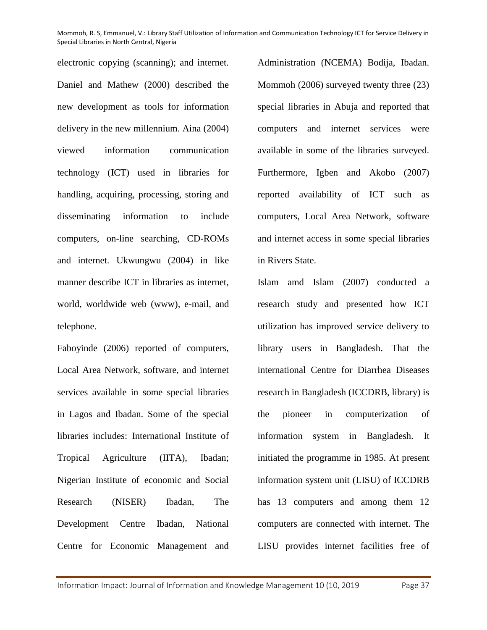electronic copying (scanning); and internet. Daniel and Mathew (2000) described the new development as tools for information delivery in the new millennium. Aina (2004) viewed information communication technology (ICT) used in libraries for handling, acquiring, processing, storing and disseminating information to include computers, on-line searching, CD-ROMs and internet. Ukwungwu (2004) in like manner describe ICT in libraries as internet, world, worldwide web (www), e-mail, and telephone.

Faboyinde (2006) reported of computers, Local Area Network, software, and internet services available in some special libraries in Lagos and Ibadan. Some of the special libraries includes: International Institute of Tropical Agriculture (IITA), Ibadan; Nigerian Institute of economic and Social Research (NISER) Ibadan, The Development Centre Ibadan, National Centre for Economic Management and

Administration (NCEMA) Bodija, Ibadan. Mommoh (2006) surveyed twenty three (23) special libraries in Abuja and reported that computers and internet services were available in some of the libraries surveyed. Furthermore, Igben and Akobo (2007) reported availability of ICT such as computers, Local Area Network, software and internet access in some special libraries in Rivers State.

Islam amd Islam (2007) conducted a research study and presented how ICT utilization has improved service delivery to library users in Bangladesh. That the international Centre for Diarrhea Diseases research in Bangladesh (ICCDRB, library) is the pioneer in computerization of information system in Bangladesh. It initiated the programme in 1985. At present information system unit (LISU) of ICCDRB has 13 computers and among them 12 computers are connected with internet. The LISU provides internet facilities free of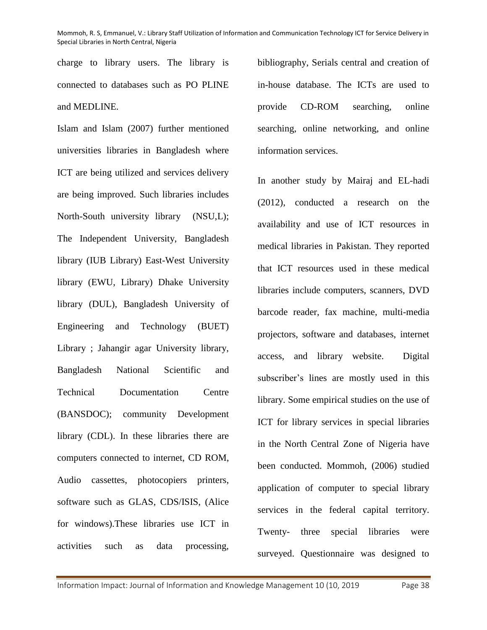charge to library users. The library is connected to databases such as PO PLINE and MEDLINE.

Islam and Islam (2007) further mentioned universities libraries in Bangladesh where ICT are being utilized and services delivery are being improved. Such libraries includes North-South university library (NSU,L); The Independent University, Bangladesh library (IUB Library) East-West University library (EWU, Library) Dhake University library (DUL), Bangladesh University of Engineering and Technology (BUET) Library ; Jahangir agar University library, Bangladesh National Scientific and Technical Documentation Centre (BANSDOC); community Development library (CDL). In these libraries there are computers connected to internet, CD ROM, Audio cassettes, photocopiers printers, software such as GLAS, CDS/ISIS, (Alice for windows).These libraries use ICT in activities such as data processing,

bibliography, Serials central and creation of in-house database. The ICTs are used to provide CD-ROM searching, online searching, online networking, and online information services.

In another study by Mairaj and EL-hadi (2012), conducted a research on the availability and use of ICT resources in medical libraries in Pakistan. They reported that ICT resources used in these medical libraries include computers, scanners, DVD barcode reader, fax machine, multi-media projectors, software and databases, internet access, and library website. Digital subscriber's lines are mostly used in this library. Some empirical studies on the use of ICT for library services in special libraries in the North Central Zone of Nigeria have been conducted. Mommoh, (2006) studied application of computer to special library services in the federal capital territory. Twenty- three special libraries were surveyed. Questionnaire was designed to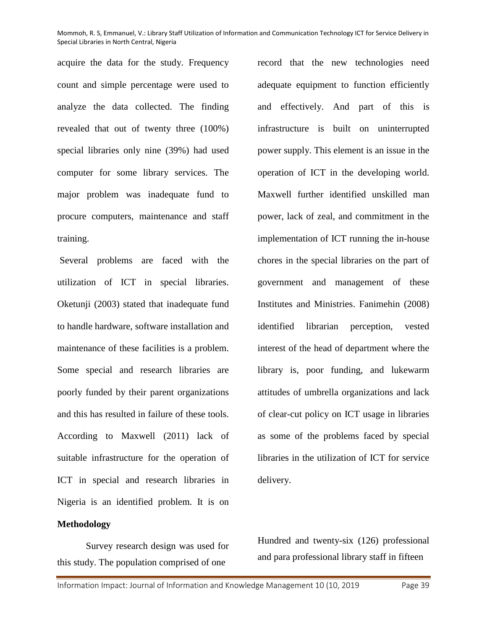acquire the data for the study. Frequency count and simple percentage were used to analyze the data collected. The finding revealed that out of twenty three (100%) special libraries only nine (39%) had used computer for some library services. The major problem was inadequate fund to procure computers, maintenance and staff training.

Several problems are faced with the utilization of ICT in special libraries. Oketunji (2003) stated that inadequate fund to handle hardware, software installation and maintenance of these facilities is a problem. Some special and research libraries are poorly funded by their parent organizations and this has resulted in failure of these tools. According to Maxwell (2011) lack of suitable infrastructure for the operation of ICT in special and research libraries in Nigeria is an identified problem. It is on

### **Methodology**

Survey research design was used for this study. The population comprised of one

record that the new technologies need adequate equipment to function efficiently and effectively. And part of this is infrastructure is built on uninterrupted power supply. This element is an issue in the operation of ICT in the developing world. Maxwell further identified unskilled man power, lack of zeal, and commitment in the implementation of ICT running the in-house chores in the special libraries on the part of government and management of these Institutes and Ministries. Fanimehin (2008) identified librarian perception, vested interest of the head of department where the library is, poor funding, and lukewarm attitudes of umbrella organizations and lack of clear-cut policy on ICT usage in libraries as some of the problems faced by special libraries in the utilization of ICT for service delivery.

Hundred and twenty-six (126) professional and para professional library staff in fifteen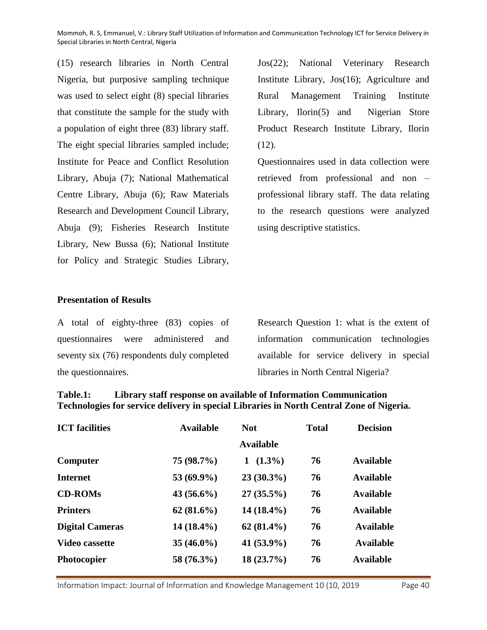(15) research libraries in North Central Nigeria, but purposive sampling technique was used to select eight (8) special libraries that constitute the sample for the study with a population of eight three (83) library staff. The eight special libraries sampled include; Institute for Peace and Conflict Resolution Library, Abuja (7); National Mathematical Centre Library, Abuja (6); Raw Materials Research and Development Council Library, Abuja (9); Fisheries Research Institute Library, New Bussa (6); National Institute for Policy and Strategic Studies Library,

Jos(22); National Veterinary Research Institute Library, Jos(16); Agriculture and Rural Management Training Institute Library, Ilorin(5) and Nigerian Store Product Research Institute Library, Ilorin  $(12)$ .

Questionnaires used in data collection were retrieved from professional and non – professional library staff. The data relating to the research questions were analyzed using descriptive statistics.

### **Presentation of Results**

A total of eighty-three (83) copies of questionnaires were administered and seventy six (76) respondents duly completed the questionnaires.

Research Question 1: what is the extent of information communication technologies available for service delivery in special libraries in North Central Nigeria?

# **Table.1: Library staff response on available of Information Communication Technologies for service delivery in special Libraries in North Central Zone of Nigeria.**

| <b>ICT</b> facilities  | <b>Available</b> | <b>Not</b>       |    | <b>Decision</b>  |
|------------------------|------------------|------------------|----|------------------|
|                        |                  | <b>Available</b> |    |                  |
| Computer               | 75 (98.7%)       | $(1.3\%)$<br>1   | 76 | Available        |
| <b>Internet</b>        | 53 (69.9%)       | $23(30.3\%)$     | 76 | <b>Available</b> |
| <b>CD-ROMs</b>         | $43(56.6\%)$     | $27(35.5\%)$     | 76 | <b>Available</b> |
| <b>Printers</b>        | $62(81.6\%)$     | $14(18.4\%)$     | 76 | <b>Available</b> |
| <b>Digital Cameras</b> | $14(18.4\%)$     | $62(81.4\%)$     | 76 | <b>Available</b> |
| <b>Video cassette</b>  | $35(46.0\%)$     | 41 $(53.9\%)$    | 76 | <b>Available</b> |
| <b>Photocopier</b>     | 58 (76.3%)       | $18(23.7\%)$     | 76 | <b>Available</b> |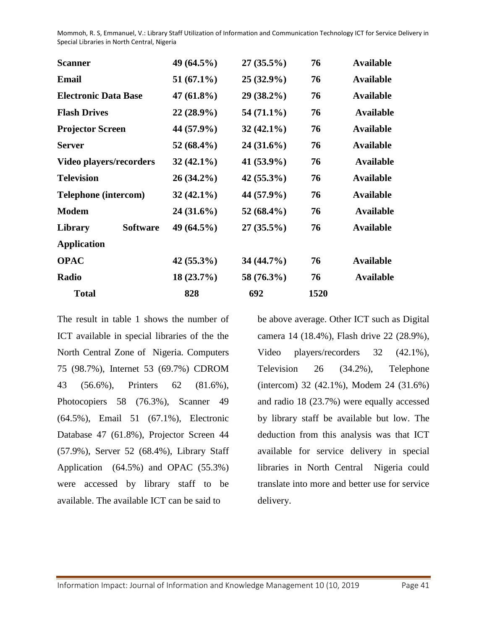| <b>Scanner</b>                 | 49 (64.5%)    | $27(35.5\%)$  | 76   | <b>Available</b> |
|--------------------------------|---------------|---------------|------|------------------|
| <b>Email</b>                   | $51(67.1\%)$  | $25(32.9\%)$  | 76   | <b>Available</b> |
| <b>Electronic Data Base</b>    | 47 $(61.8\%)$ | $29(38.2\%)$  | 76   | <b>Available</b> |
| <b>Flash Drives</b>            | $22(28.9\%)$  | $54(71.1\%)$  | 76   | <b>Available</b> |
| <b>Projector Screen</b>        | 44 (57.9%)    | $32(42.1\%)$  | 76   | <b>Available</b> |
| <b>Server</b>                  | 52 $(68.4\%)$ | $24(31.6\%)$  | 76   | <b>Available</b> |
| <b>Video players/recorders</b> | $32(42.1\%)$  | $41(53.9\%)$  | 76   | <b>Available</b> |
| <b>Television</b>              | $26(34.2\%)$  | $42(55.3\%)$  | 76   | <b>Available</b> |
| <b>Telephone</b> (intercom)    | $32(42.1\%)$  | 44 (57.9%)    | 76   | <b>Available</b> |
| <b>Modem</b>                   | $24(31.6\%)$  | 52 $(68.4\%)$ | 76   | <b>Available</b> |
| <b>Software</b><br>Library     | 49 $(64.5\%)$ | $27(35.5\%)$  | 76   | <b>Available</b> |
| <b>Application</b>             |               |               |      |                  |
| <b>OPAC</b>                    | $42(55.3\%)$  | $34(44.7\%)$  | 76   | <b>Available</b> |
| Radio                          | $18(23.7\%)$  | 58 (76.3%)    | 76   | <b>Available</b> |
| <b>Total</b>                   | 828           | 692           | 1520 |                  |

The result in table 1 shows the number of ICT available in special libraries of the the North Central Zone of Nigeria. Computers 75 (98.7%), Internet 53 (69.7%) CDROM 43 (56.6%), Printers 62 (81.6%), Photocopiers 58 (76.3%), Scanner 49 (64.5%), Email 51 (67.1%), Electronic Database 47 (61.8%), Projector Screen 44 (57.9%), Server 52 (68.4%), Library Staff Application (64.5%) and OPAC (55.3%) were accessed by library staff to be available. The available ICT can be said to

be above average. Other ICT such as Digital camera 14 (18.4%), Flash drive 22 (28.9%), Video players/recorders 32 (42.1%), Television 26 (34.2%), Telephone (intercom) 32 (42.1%), Modem 24 (31.6%) and radio 18 (23.7%) were equally accessed by library staff be available but low. The deduction from this analysis was that ICT available for service delivery in special libraries in North Central Nigeria could translate into more and better use for service delivery.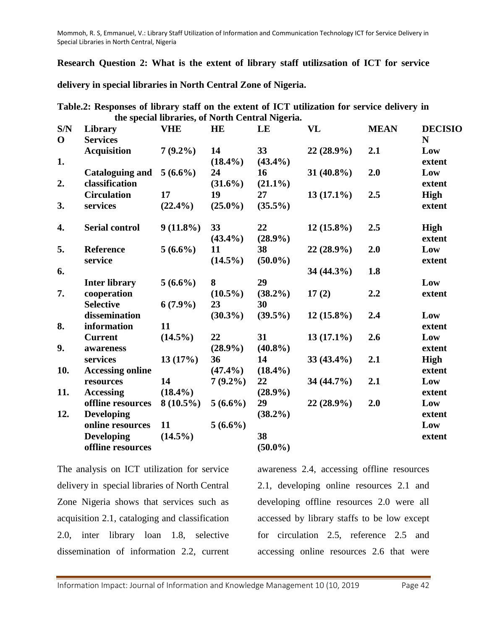**Research Question 2: What is the extent of library staff utilizsation of ICT for service** 

**delivery in special libraries in North Central Zone of Nigeria.**

**Table.2: Responses of library staff on the extent of ICT utilization for service delivery in the special libraries, of North Central Nigeria.**

| S/N<br>$\mathbf 0$ | Library<br><b>Services</b> | <b>VHE</b>  | HE         | LE         | VL           | <b>MEAN</b> | <b>DECISIO</b><br>$\mathbf N$ |
|--------------------|----------------------------|-------------|------------|------------|--------------|-------------|-------------------------------|
|                    | <b>Acquisition</b>         | $7(9.2\%)$  | 14         | 33         | $22(28.9\%)$ | 2.1         | Low                           |
| 1.                 |                            |             | $(18.4\%)$ | $(43.4\%)$ |              |             | extent                        |
|                    | <b>Cataloguing and</b>     | $5(6.6\%)$  | 24         | 16         | 31 (40.8%)   | 2.0         | Low                           |
| 2.                 | classification             |             | $(31.6\%)$ | $(21.1\%)$ |              |             | extent                        |
|                    | <b>Circulation</b>         | 17          | 19         | 27         | $13(17.1\%)$ | 2.5         | High                          |
| 3.                 | services                   | $(22.4\%)$  | $(25.0\%)$ | $(35.5\%)$ |              |             | extent                        |
| 4.                 | <b>Serial control</b>      | $9(11.8\%)$ | 33         | 22         | $12(15.8\%)$ | 2.5         | High                          |
|                    |                            |             | $(43.4\%)$ | $(28.9\%)$ |              |             | extent                        |
| 5.                 | <b>Reference</b>           | $5(6.6\%)$  | 11         | 38         | 22 (28.9%)   | 2.0         | Low                           |
|                    | service                    |             | $(14.5\%)$ | $(50.0\%)$ |              |             | extent                        |
| 6.                 |                            |             |            |            | 34 (44.3%)   | 1.8         |                               |
|                    | <b>Inter library</b>       | $5(6.6\%)$  | 8          | 29         |              |             | Low                           |
| 7.                 | cooperation                |             | $(10.5\%)$ | $(38.2\%)$ | 17(2)        | 2.2         | extent                        |
|                    | <b>Selective</b>           | $6(7.9\%)$  | 23         | 30         |              |             |                               |
|                    | dissemination              |             | $(30.3\%)$ | $(39.5\%)$ | $12(15.8\%)$ | 2.4         | Low                           |
| 8.                 | information                | 11          |            |            |              |             | extent                        |
|                    | <b>Current</b>             | $(14.5\%)$  | 22         | 31         | $13(17.1\%)$ | 2.6         | Low                           |
| 9.                 | awareness                  |             | $(28.9\%)$ | $(40.8\%)$ |              |             | extent                        |
|                    | services                   | 13(17%)     | 36         | 14         | $33(43.4\%)$ | 2.1         | High                          |
| 10.                | <b>Accessing online</b>    |             | $(47.4\%)$ | $(18.4\%)$ |              |             | extent                        |
|                    | resources                  | 14          | $7(9.2\%)$ | 22         | 34 (44.7%)   | 2.1         | Low                           |
| 11.                | <b>Accessing</b>           | $(18.4\%)$  |            | $(28.9\%)$ |              |             | extent                        |
|                    | offline resources          | $8(10.5\%)$ | $5(6.6\%)$ | 29         | 22 (28.9%)   | 2.0         | Low                           |
| 12.                | <b>Developing</b>          |             |            | $(38.2\%)$ |              |             | extent                        |
|                    | online resources           | 11          | $5(6.6\%)$ |            |              |             | Low                           |
|                    | <b>Developing</b>          | $(14.5\%)$  |            | 38         |              |             | extent                        |
|                    | offline resources          |             |            | $(50.0\%)$ |              |             |                               |
|                    |                            |             |            |            |              |             |                               |

The analysis on ICT utilization for service delivery in special libraries of North Central Zone Nigeria shows that services such as acquisition 2.1, cataloging and classification 2.0, inter library loan 1.8, selective dissemination of information 2.2, current awareness 2.4, accessing offline resources 2.1, developing online resources 2.1 and developing offline resources 2.0 were all accessed by library staffs to be low except for circulation 2.5, reference 2.5 and accessing online resources 2.6 that were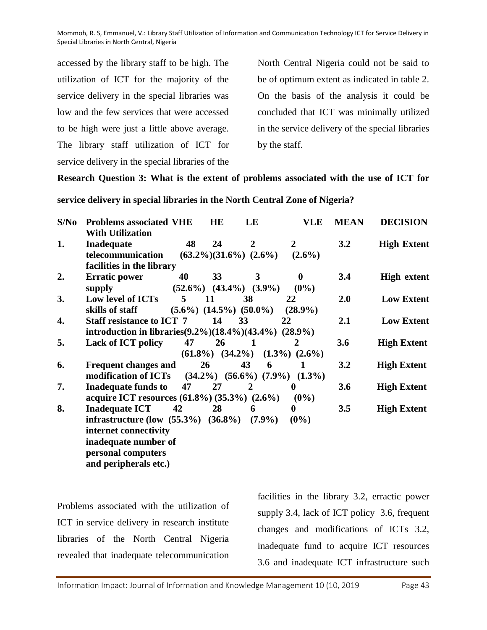accessed by the library staff to be high. The utilization of ICT for the majority of the service delivery in the special libraries was low and the few services that were accessed to be high were just a little above average. The library staff utilization of ICT for service delivery in the special libraries of the

North Central Nigeria could not be said to be of optimum extent as indicated in table 2. On the basis of the analysis it could be concluded that ICT was minimally utilized in the service delivery of the special libraries by the staff.

### **Research Question 3: What is the extent of problems associated with the use of ICT for**

#### **service delivery in special libraries in the North Central Zone of Nigeria?**

| S/No | <b>Problems associated VHE</b><br><b>With Utilization</b>            |             | <b>HE</b> | LE                              | VLE                                       | <b>MEAN</b> | <b>DECISION</b>    |  |
|------|----------------------------------------------------------------------|-------------|-----------|---------------------------------|-------------------------------------------|-------------|--------------------|--|
| 1.   | Inadequate                                                           | 48          | 24        | 2                               | 2                                         | 3.2         | <b>High Extent</b> |  |
|      | telecommunication                                                    |             |           | $(63.2\%)$ $(31.6\%)$ $(2.6\%)$ | $(2.6\%)$                                 |             |                    |  |
|      | facilities in the library                                            |             |           |                                 |                                           |             |                    |  |
| 2.   | <b>Erratic power</b>                                                 | 40          | 33        | 3                               | $\mathbf 0$                               | 3.4         | <b>High extent</b> |  |
|      | supply                                                               |             |           | $(52.6\%)$ $(43.4\%)$ $(3.9\%)$ | $(0\%)$                                   |             |                    |  |
| 3.   | Low level of ICTs                                                    | $5^{\circ}$ | 11        | 38                              | 22                                        | 2.0         | <b>Low Extent</b>  |  |
|      | skills of staff                                                      |             |           | $(5.6\%) (14.5\%) (50.0\%)$     | $(28.9\%)$                                |             |                    |  |
| 4.   | <b>Staff resistance to ICT 7</b>                                     |             | 14        | 33                              | 22                                        | 2.1         | <b>Low Extent</b>  |  |
|      | introduction in libraries $(9.2\%)$ $(18.4\%)$ $(43.4\%)$ $(28.9\%)$ |             |           |                                 |                                           |             |                    |  |
| 5.   | <b>Lack of ICT policy</b>                                            | 47          | <b>26</b> | - 1                             | 2                                         | 3.6         | <b>High Extent</b> |  |
|      |                                                                      |             |           |                                 | $(61.8\%)$ $(34.2\%)$ $(1.3\%)$ $(2.6\%)$ |             |                    |  |
| 6.   | <b>Frequent changes and</b>                                          |             | 26        | 43<br>6                         | -1                                        | 3.2         | <b>High Extent</b> |  |
|      | modification of ICTs                                                 |             |           |                                 | $(34.2\%)$ $(56.6\%)$ $(7.9\%)$ $(1.3\%)$ |             |                    |  |
| 7.   | <b>Inadequate funds to</b>                                           | 47          | 27        | $\overline{2}$                  | $\bf{0}$                                  | 3.6         |                    |  |
|      |                                                                      |             |           |                                 |                                           |             | <b>High Extent</b> |  |
|      | acquire ICT resources $(61.8\%)$ $(35.3\%)$ $(2.6\%)$                |             |           |                                 | $(0\%)$                                   |             |                    |  |
| 8.   | <b>Inadequate ICT</b>                                                | 42          | 28        | 6                               | 0                                         | 3.5         | <b>High Extent</b> |  |
|      | infrastructure (low $(55.3\%) (36.8\%)$                              |             |           | $(7.9\%)$                       | $(0\%)$                                   |             |                    |  |
|      | internet connectivity                                                |             |           |                                 |                                           |             |                    |  |
|      | inadequate number of                                                 |             |           |                                 |                                           |             |                    |  |
|      | personal computers                                                   |             |           |                                 |                                           |             |                    |  |
|      | and peripherals etc.)                                                |             |           |                                 |                                           |             |                    |  |

Problems associated with the utilization of ICT in service delivery in research institute libraries of the North Central Nigeria revealed that inadequate telecommunication facilities in the library 3.2, erractic power supply 3.4, lack of ICT policy 3.6, frequent changes and modifications of ICTs 3.2, inadequate fund to acquire ICT resources 3.6 and inadequate ICT infrastructure such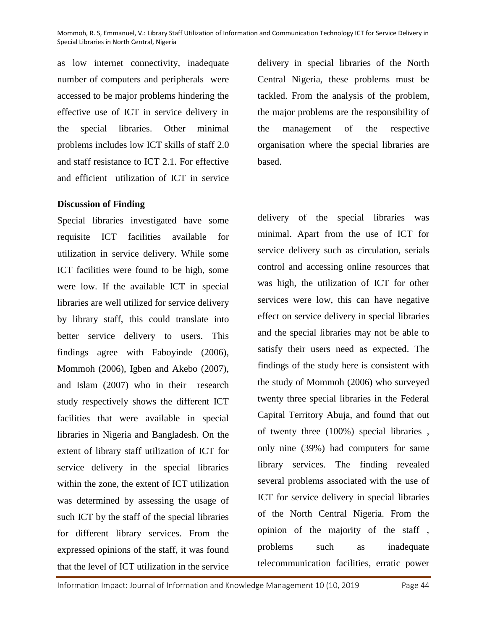as low internet connectivity, inadequate number of computers and peripherals were accessed to be major problems hindering the effective use of ICT in service delivery in the special libraries. Other minimal problems includes low ICT skills of staff 2.0 and staff resistance to ICT 2.1. For effective and efficient utilization of ICT in service

### **Discussion of Finding**

Special libraries investigated have some requisite ICT facilities available for utilization in service delivery. While some ICT facilities were found to be high, some were low. If the available ICT in special libraries are well utilized for service delivery by library staff, this could translate into better service delivery to users. This findings agree with Faboyinde (2006), Mommoh (2006), Igben and Akebo (2007), and Islam (2007) who in their research study respectively shows the different ICT facilities that were available in special libraries in Nigeria and Bangladesh. On the extent of library staff utilization of ICT for service delivery in the special libraries within the zone, the extent of ICT utilization was determined by assessing the usage of such ICT by the staff of the special libraries for different library services. From the expressed opinions of the staff, it was found that the level of ICT utilization in the service

delivery in special libraries of the North Central Nigeria, these problems must be tackled. From the analysis of the problem, the major problems are the responsibility of the management of the respective organisation where the special libraries are based.

delivery of the special libraries was minimal. Apart from the use of ICT for service delivery such as circulation, serials control and accessing online resources that was high, the utilization of ICT for other services were low, this can have negative effect on service delivery in special libraries and the special libraries may not be able to satisfy their users need as expected. The findings of the study here is consistent with the study of Mommoh (2006) who surveyed twenty three special libraries in the Federal Capital Territory Abuja, and found that out of twenty three (100%) special libraries , only nine (39%) had computers for same library services. The finding revealed several problems associated with the use of ICT for service delivery in special libraries of the North Central Nigeria. From the opinion of the majority of the staff , problems such as inadequate telecommunication facilities, erratic power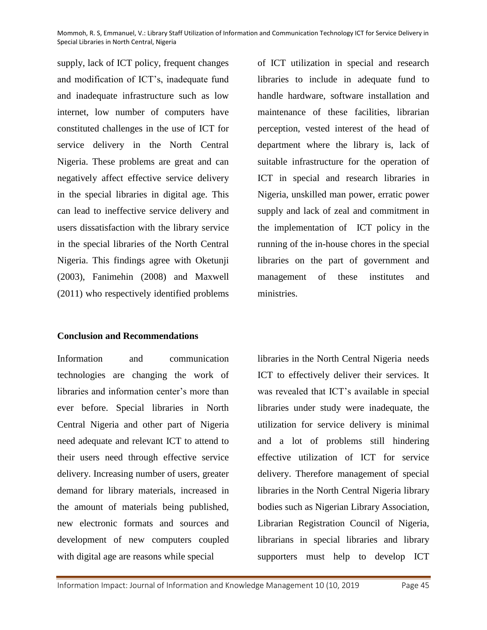supply, lack of ICT policy, frequent changes and modification of ICT's, inadequate fund and inadequate infrastructure such as low internet, low number of computers have constituted challenges in the use of ICT for service delivery in the North Central Nigeria. These problems are great and can negatively affect effective service delivery in the special libraries in digital age. This can lead to ineffective service delivery and users dissatisfaction with the library service in the special libraries of the North Central Nigeria. This findings agree with Oketunji (2003), Fanimehin (2008) and Maxwell (2011) who respectively identified problems

of ICT utilization in special and research libraries to include in adequate fund to handle hardware, software installation and maintenance of these facilities, librarian perception, vested interest of the head of department where the library is, lack of suitable infrastructure for the operation of ICT in special and research libraries in Nigeria, unskilled man power, erratic power supply and lack of zeal and commitment in the implementation of ICT policy in the running of the in-house chores in the special libraries on the part of government and management of these institutes and ministries.

# **Conclusion and Recommendations**

Information and communication technologies are changing the work of libraries and information center's more than ever before. Special libraries in North Central Nigeria and other part of Nigeria need adequate and relevant ICT to attend to their users need through effective service delivery. Increasing number of users, greater demand for library materials, increased in the amount of materials being published, new electronic formats and sources and development of new computers coupled with digital age are reasons while special

libraries in the North Central Nigeria needs ICT to effectively deliver their services. It was revealed that ICT's available in special libraries under study were inadequate, the utilization for service delivery is minimal and a lot of problems still hindering effective utilization of ICT for service delivery. Therefore management of special libraries in the North Central Nigeria library bodies such as Nigerian Library Association, Librarian Registration Council of Nigeria, librarians in special libraries and library supporters must help to develop ICT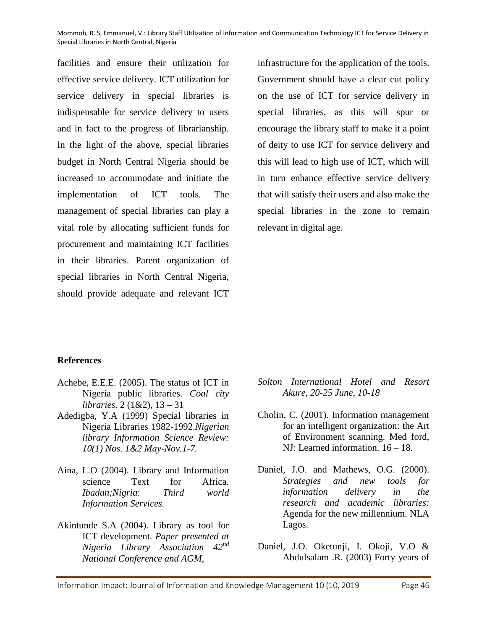facilities and ensure their utilization for effective service delivery. ICT utilization for service delivery in special libraries is indispensable for service delivery to users and in fact to the progress of librarianship. In the light of the above, special libraries budget in North Central Nigeria should be increased to accommodate and initiate the implementation of ICT tools. The management of special libraries can play a vital role by allocating sufficient funds for procurement and maintaining ICT facilities in their libraries. Parent organization of special libraries in North Central Nigeria, should provide adequate and relevant ICT

infrastructure for the application of the tools. Government should have a clear cut policy on the use of ICT for service delivery in special libraries, as this will spur or encourage the library staff to make it a point of deity to use ICT for service delivery and this will lead to high use of ICT, which will in turn enhance effective service delivery that will satisfy their users and also make the special libraries in the zone to remain relevant in digital age.

### **References**

- Achebe, E.E.E. (2005). The status of ICT in Nigeria public libraries. *Coal city libraries.* 2 (1&2), 13 – 31
- Adedigba, Y.A (1999) Special libraries in Nigeria Libraries 1982-1992.*Nigerian library Information Science Review: 10(1) Nos. 1&2 May-Nov.1-7.*
- Aina, L.O (2004). Library and Information science Text for Africa. *Ibadan;Nigria*: *Third world Information Services.*
- Akintunde S.A (2004). Library as tool for ICT development. *Paper presented at Nigeria Library Association 42nd National Conference and AGM,*
- *Solton International Hotel and Resort Akure, 20-25 June, 10-18*
- Cholin, C. (2001). Information management for an intelligent organization: the Art of Environment scanning. Med ford, NJ: Learned information. 16 – 18.
- Daniel, J.O. and Mathews, O.G. (2000). *Strategies and new tools for information delivery in the research and academic libraries:* Agenda for the new millennium. NLA Lagos.
- Daniel, J.O. Oketunji, I. Okoji, V.O & Abdulsalam .R. (2003) Forty years of